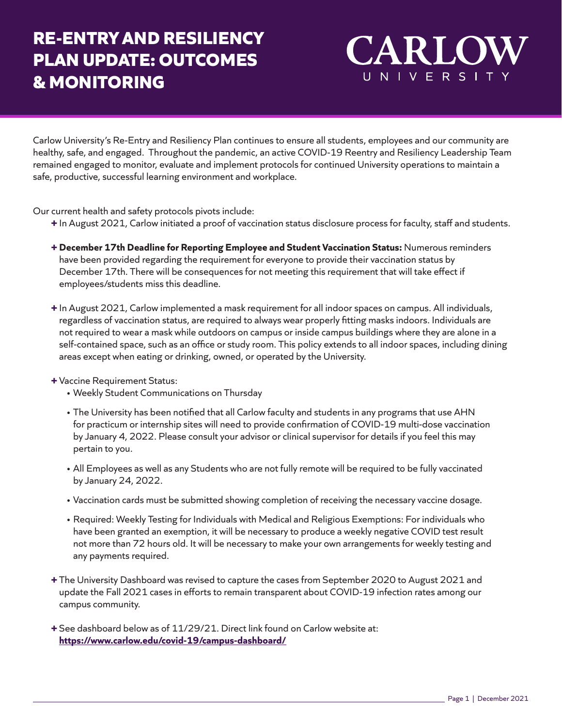## **RE-ENTRY AND RESILIENCY PLAN UPDATE: OUTCOMES & MONITORING**

## CARLO UNIVERSITY

Carlow University's Re-Entry and Resiliency Plan continues to ensure all students, employees and our community are healthy, safe, and engaged. Throughout the pandemic, an active COVID-19 Reentry and Resiliency Leadership Team remained engaged to monitor, evaluate and implement protocols for continued University operations to maintain a safe, productive, successful learning environment and workplace.

Our current health and safety protocols pivots include:

- **+** In August 2021, Carlow initiated a proof of vaccination status disclosure process for faculty, staff and students.
- **+ December 17th Deadline for Reporting Employee and Student Vaccination Status:** Numerous reminders have been provided regarding the requirement for everyone to provide their vaccination status by December 17th. There will be consequences for not meeting this requirement that will take effect if employees/students miss this deadline.
- **+** In August 2021, Carlow implemented a mask requirement for all indoor spaces on campus. All individuals, regardless of vaccination status, are required to always wear properly fitting masks indoors. Individuals are not required to wear a mask while outdoors on campus or inside campus buildings where they are alone in a self-contained space, such as an office or study room. This policy extends to all indoor spaces, including dining areas except when eating or drinking, owned, or operated by the University.
- **+** Vaccine Requirement Status:
	- Weekly Student Communications on Thursday
	- The University has been notified that all Carlow faculty and students in any programs that use AHN for practicum or internship sites will need to provide confirmation of COVID-19 multi-dose vaccination by January 4, 2022. Please consult your advisor or clinical supervisor for details if you feel this may pertain to you.
	- All Employees as well as any Students who are not fully remote will be required to be fully vaccinated by January 24, 2022.
	- Vaccination cards must be submitted showing completion of receiving the necessary vaccine dosage.
	- Required: Weekly Testing for Individuals with Medical and Religious Exemptions: For individuals who have been granted an exemption, it will be necessary to produce a weekly negative COVID test result not more than 72 hours old. It will be necessary to make your own arrangements for weekly testing and any payments required.
- **+** The University Dashboard was revised to capture the cases from September 2020 to August 2021 and update the Fall 2021 cases in efforts to remain transparent about COVID-19 infection rates among our campus community.
- **+** See dashboard below as of 11/29/21. Direct link found on Carlow website at: **<https://www.carlow.edu/covid-19/campus-dashboard/>**